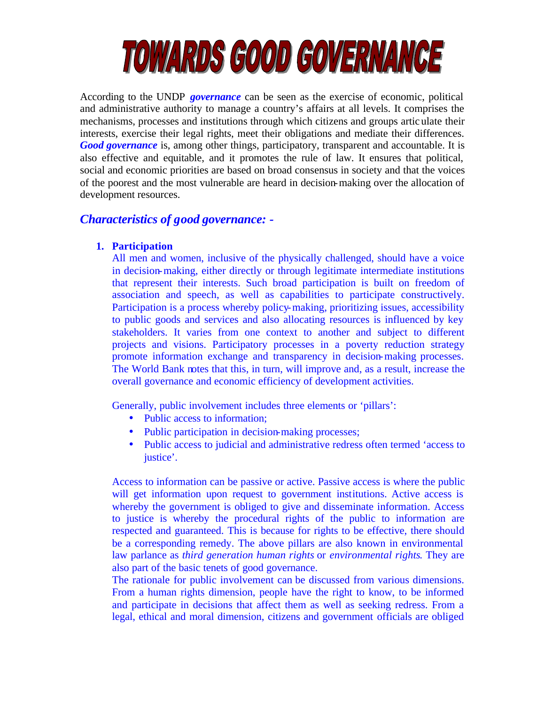

According to the UNDP *governance* can be seen as the exercise of economic, political and administrative authority to manage a country's affairs at all levels. It comprises the mechanisms, processes and institutions through which citizens and groups articulate their interests, exercise their legal rights, meet their obligations and mediate their differences. *Good governance* is, among other things, participatory, transparent and accountable. It is also effective and equitable, and it promotes the rule of law. It ensures that political, social and economic priorities are based on broad consensus in society and that the voices of the poorest and the most vulnerable are heard in decision-making over the allocation of development resources.

# *Characteristics of good governance: -*

# **1. Participation**

All men and women, inclusive of the physically challenged, should have a voice in decision-making, either directly or through legitimate intermediate institutions that represent their interests. Such broad participation is built on freedom of association and speech, as well as capabilities to participate constructively. Participation is a process whereby policy-making, prioritizing issues, accessibility to public goods and services and also allocating resources is influenced by key stakeholders. It varies from one context to another and subject to different projects and visions. Participatory processes in a poverty reduction strategy promote information exchange and transparency in decision-making processes. The World Bank notes that this, in turn, will improve and, as a result, increase the overall governance and economic efficiency of development activities.

Generally, public involvement includes three elements or 'pillars':

- Public access to information;
- Public participation in decision-making processes;
- Public access to judicial and administrative redress often termed 'access to justice'.

Access to information can be passive or active. Passive access is where the public will get information upon request to government institutions. Active access is whereby the government is obliged to give and disseminate information. Access to justice is whereby the procedural rights of the public to information are respected and guaranteed. This is because for rights to be effective, there should be a corresponding remedy. The above pillars are also known in environmental law parlance as *third generation human rights* or *environmental rights*. They are also part of the basic tenets of good governance.

The rationale for public involvement can be discussed from various dimensions. From a human rights dimension, people have the right to know, to be informed and participate in decisions that affect them as well as seeking redress. From a legal, ethical and moral dimension, citizens and government officials are obliged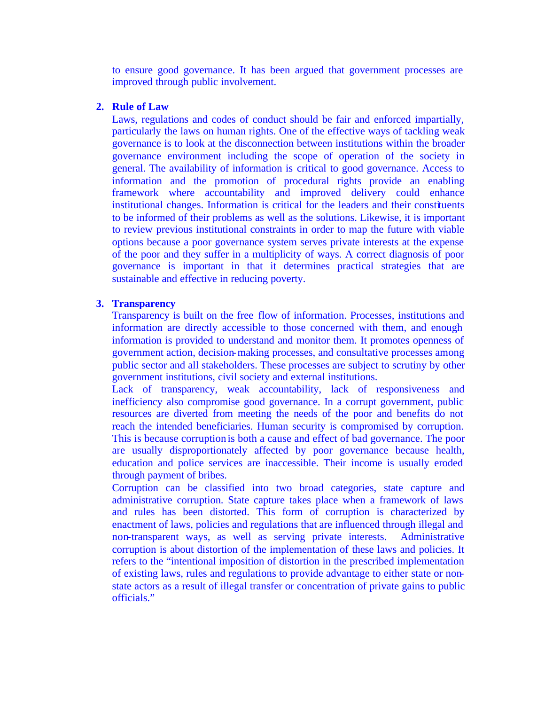to ensure good governance. It has been argued that government processes are improved through public involvement.

### **2. Rule of Law**

Laws, regulations and codes of conduct should be fair and enforced impartially, particularly the laws on human rights. One of the effective ways of tackling weak governance is to look at the disconnection between institutions within the broader governance environment including the scope of operation of the society in general. The availability of information is critical to good governance. Access to information and the promotion of procedural rights provide an enabling framework where accountability and improved delivery could enhance institutional changes. Information is critical for the leaders and their constituents to be informed of their problems as well as the solutions. Likewise, it is important to review previous institutional constraints in order to map the future with viable options because a poor governance system serves private interests at the expense of the poor and they suffer in a multiplicity of ways. A correct diagnosis of poor governance is important in that it determines practical strategies that are sustainable and effective in reducing poverty.

# **3. Transparency**

Transparency is built on the free flow of information. Processes, institutions and information are directly accessible to those concerned with them, and enough information is provided to understand and monitor them. It promotes openness of government action, decision-making processes, and consultative processes among public sector and all stakeholders. These processes are subject to scrutiny by other government institutions, civil society and external institutions.

Lack of transparency, weak accountability, lack of responsiveness and inefficiency also compromise good governance. In a corrupt government, public resources are diverted from meeting the needs of the poor and benefits do not reach the intended beneficiaries. Human security is compromised by corruption. This is because corruption is both a cause and effect of bad governance. The poor are usually disproportionately affected by poor governance because health, education and police services are inaccessible. Their income is usually eroded through payment of bribes.

Corruption can be classified into two broad categories, state capture and administrative corruption. State capture takes place when a framework of laws and rules has been distorted. This form of corruption is characterized by enactment of laws, policies and regulations that are influenced through illegal and non-transparent ways, as well as serving private interests. Administrative corruption is about distortion of the implementation of these laws and policies. It refers to the "intentional imposition of distortion in the prescribed implementation of existing laws, rules and regulations to provide advantage to either state or nonstate actors as a result of illegal transfer or concentration of private gains to public officials."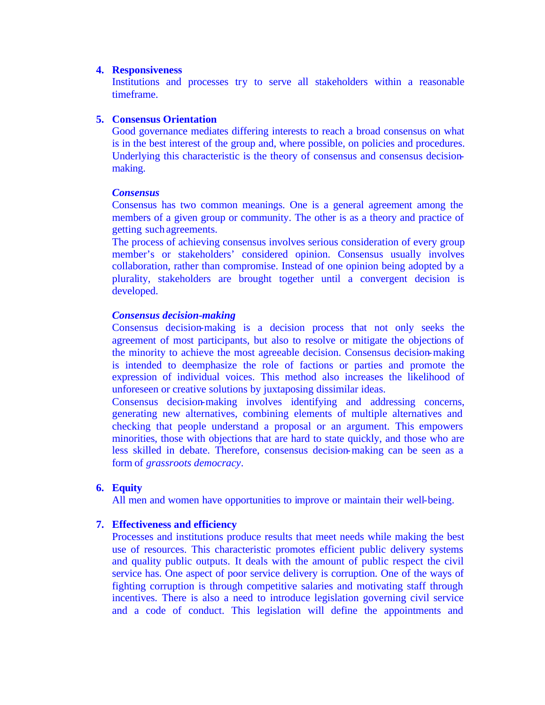### **4. Responsiveness**

Institutions and processes try to serve all stakeholders within a reasonable timeframe.

# **5. Consensus Orientation**

Good governance mediates differing interests to reach a broad consensus on what is in the best interest of the group and, where possible, on policies and procedures. Underlying this characteristic is the theory of consensus and consensus decisionmaking.

### *Consensus*

Consensus has two common meanings. One is a general agreement among the members of a given group or community. The other is as a theory and practice of getting such agreements.

The process of achieving consensus involves serious consideration of every group member's or stakeholders' considered opinion. Consensus usually involves collaboration, rather than compromise. Instead of one opinion being adopted by a plurality, stakeholders are brought together until a convergent decision is developed.

### *Consensus decision-making*

Consensus decision-making is a decision process that not only seeks the agreement of most participants, but also to resolve or mitigate the objections of the minority to achieve the most agreeable decision. Consensus decision-making is intended to deemphasize the role of factions or parties and promote the expression of individual voices. This method also increases the likelihood of unforeseen or creative solutions by juxtaposing dissimilar ideas.

Consensus decision-making involves identifying and addressing concerns, generating new alternatives, combining elements of multiple alternatives and checking that people understand a proposal or an argument. This empowers minorities, those with objections that are hard to state quickly, and those who are less skilled in debate. Therefore, consensus decision-making can be seen as a form of *grassroots democracy*.

# **6. Equity**

All men and women have opportunities to improve or maintain their well-being.

# **7. Effectiveness and efficiency**

Processes and institutions produce results that meet needs while making the best use of resources. This characteristic promotes efficient public delivery systems and quality public outputs. It deals with the amount of public respect the civil service has. One aspect of poor service delivery is corruption. One of the ways of fighting corruption is through competitive salaries and motivating staff through incentives. There is also a need to introduce legislation governing civil service and a code of conduct. This legislation will define the appointments and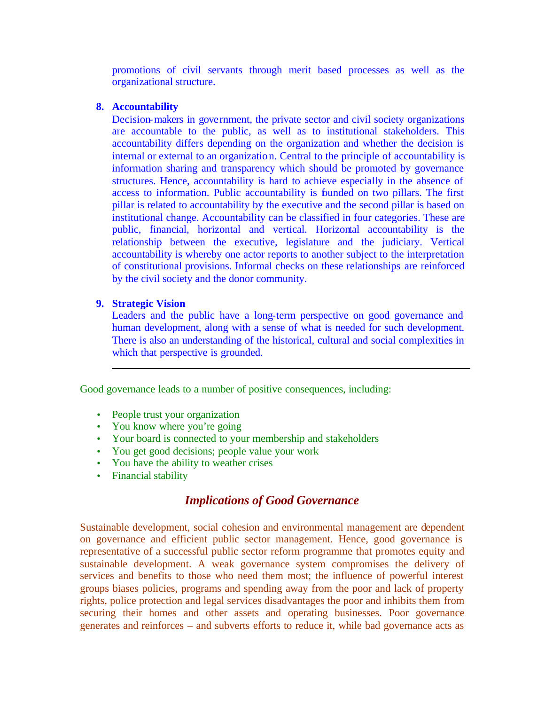promotions of civil servants through merit based processes as well as the organizational structure.

### **8. Accountability**

Decision-makers in government, the private sector and civil society organizations are accountable to the public, as well as to institutional stakeholders. This accountability differs depending on the organization and whether the decision is internal or external to an organization. Central to the principle of accountability is information sharing and transparency which should be promoted by governance structures. Hence, accountability is hard to achieve especially in the absence of access to information. Public accountability is founded on two pillars. The first pillar is related to accountability by the executive and the second pillar is based on institutional change. Accountability can be classified in four categories. These are public, financial, horizontal and vertical. Horizontal accountability is the relationship between the executive, legislature and the judiciary. Vertical accountability is whereby one actor reports to another subject to the interpretation of constitutional provisions. Informal checks on these relationships are reinforced by the civil society and the donor community.

# **9. Strategic Vision**

Leaders and the public have a long-term perspective on good governance and human development, along with a sense of what is needed for such development. There is also an understanding of the historical, cultural and social complexities in which that perspective is grounded.

Good governance leads to a number of positive consequences, including:

- People trust your organization
- You know where you're going
- Your board is connected to your membership and stakeholders
- You get good decisions; people value your work
- You have the ability to weather crises
- Financial stability

# *Implications of Good Governance*

Sustainable development, social cohesion and environmental management are dependent on governance and efficient public sector management. Hence, good governance is representative of a successful public sector reform programme that promotes equity and sustainable development. A weak governance system compromises the delivery of services and benefits to those who need them most; the influence of powerful interest groups biases policies, programs and spending away from the poor and lack of property rights, police protection and legal services disadvantages the poor and inhibits them from securing their homes and other assets and operating businesses. Poor governance generates and reinforces – and subverts efforts to reduce it, while bad governance acts as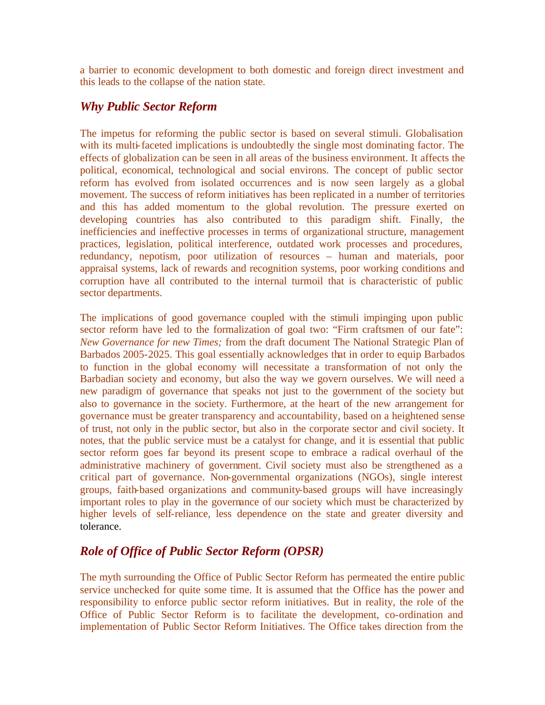a barrier to economic development to both domestic and foreign direct investment and this leads to the collapse of the nation state.

# *Why Public Sector Reform*

The impetus for reforming the public sector is based on several stimuli. Globalisation with its multi-faceted implications is undoubtedly the single most dominating factor. The effects of globalization can be seen in all areas of the business environment. It affects the political, economical, technological and social environs. The concept of public sector reform has evolved from isolated occurrences and is now seen largely as a global movement. The success of reform initiatives has been replicated in a number of territories and this has added momentum to the global revolution. The pressure exerted on developing countries has also contributed to this paradigm shift. Finally, the inefficiencies and ineffective processes in terms of organizational structure, management practices, legislation, political interference, outdated work processes and procedures, redundancy, nepotism, poor utilization of resources – human and materials, poor appraisal systems, lack of rewards and recognition systems, poor working conditions and corruption have all contributed to the internal turmoil that is characteristic of public sector departments.

The implications of good governance coupled with the stimuli impinging upon public sector reform have led to the formalization of goal two: "Firm craftsmen of our fate": *New Governance for new Times;* from the draft document The National Strategic Plan of Barbados 2005-2025. This goal essentially acknowledges that in order to equip Barbados to function in the global economy will necessitate a transformation of not only the Barbadian society and economy, but also the way we govern ourselves. We will need a new paradigm of governance that speaks not just to the government of the society but also to governance in the society. Furthermore, at the heart of the new arrangement for governance must be greater transparency and accountability, based on a heightened sense of trust, not only in the public sector, but also in the corporate sector and civil society. It notes, that the public service must be a catalyst for change, and it is essential that public sector reform goes far beyond its present scope to embrace a radical overhaul of the administrative machinery of government. Civil society must also be strengthened as a critical part of governance. Non-governmental organizations (NGOs), single interest groups, faith-based organizations and community-based groups will have increasingly important roles to play in the governance of our society which must be characterized by higher levels of self-reliance, less dependence on the state and greater diversity and tolerance.

# *Role of Office of Public Sector Reform (OPSR)*

The myth surrounding the Office of Public Sector Reform has permeated the entire public service unchecked for quite some time. It is assumed that the Office has the power and responsibility to enforce public sector reform initiatives. But in reality, the role of the Office of Public Sector Reform is to facilitate the development, co-ordination and implementation of Public Sector Reform Initiatives. The Office takes direction from the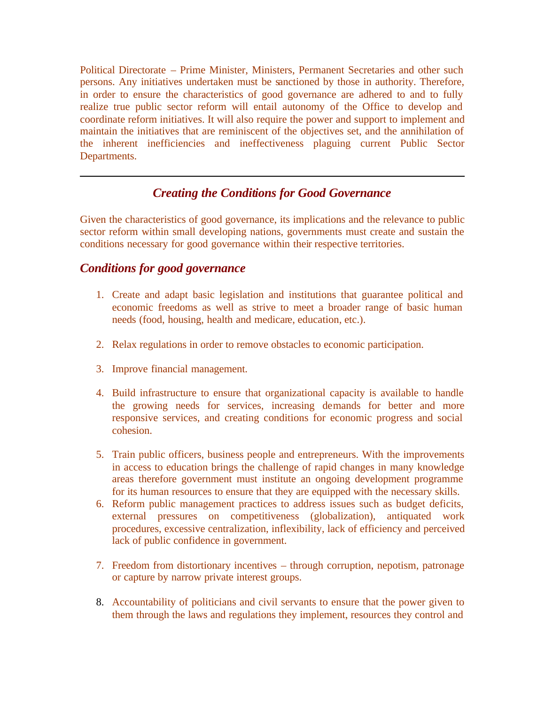Political Directorate – Prime Minister, Ministers, Permanent Secretaries and other such persons. Any initiatives undertaken must be sanctioned by those in authority. Therefore, in order to ensure the characteristics of good governance are adhered to and to fully realize true public sector reform will entail autonomy of the Office to develop and coordinate reform initiatives. It will also require the power and support to implement and maintain the initiatives that are reminiscent of the objectives set, and the annihilation of the inherent inefficiencies and ineffectiveness plaguing current Public Sector Departments.

# *Creating the Conditions for Good Governance*

Given the characteristics of good governance, its implications and the relevance to public sector reform within small developing nations, governments must create and sustain the conditions necessary for good governance within their respective territories.

# *Conditions for good governance*

- 1. Create and adapt basic legislation and institutions that guarantee political and economic freedoms as well as strive to meet a broader range of basic human needs (food, housing, health and medicare, education, etc.).
- 2. Relax regulations in order to remove obstacles to economic participation.
- 3. Improve financial management.
- 4. Build infrastructure to ensure that organizational capacity is available to handle the growing needs for services, increasing demands for better and more responsive services, and creating conditions for economic progress and social cohesion.
- 5. Train public officers, business people and entrepreneurs. With the improvements in access to education brings the challenge of rapid changes in many knowledge areas therefore government must institute an ongoing development programme for its human resources to ensure that they are equipped with the necessary skills.
- 6. Reform public management practices to address issues such as budget deficits, external pressures on competitiveness (globalization), antiquated work procedures, excessive centralization, inflexibility, lack of efficiency and perceived lack of public confidence in government.
- 7. Freedom from distortionary incentives through corruption, nepotism, patronage or capture by narrow private interest groups.
- 8. Accountability of politicians and civil servants to ensure that the power given to them through the laws and regulations they implement, resources they control and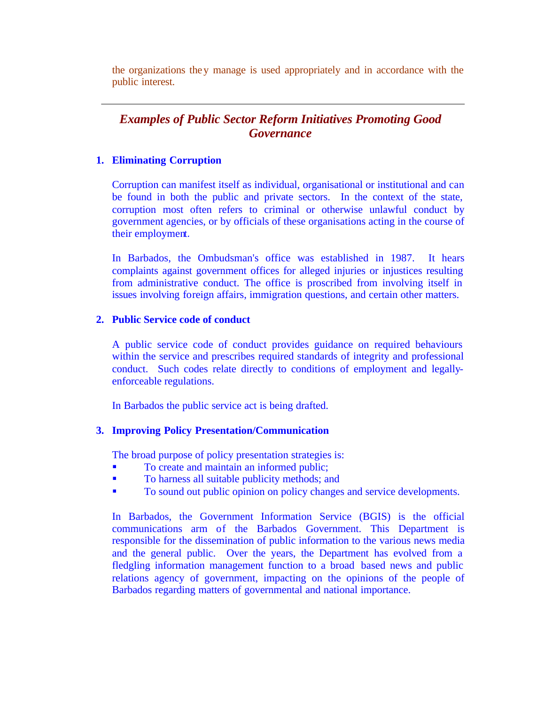the organizations they manage is used appropriately and in accordance with the public interest.

# *Examples of Public Sector Reform Initiatives Promoting Good Governance*

# **1. Eliminating Corruption**

Corruption can manifest itself as individual, organisational or institutional and can be found in both the public and private sectors. In the context of the state, corruption most often refers to criminal or otherwise unlawful conduct by government agencies, or by officials of these organisations acting in the course of their employment*.*

In Barbados, the Ombudsman's office was established in 1987. It hears complaints against government offices for alleged injuries or injustices resulting from administrative conduct. The office is proscribed from involving itself in issues involving foreign affairs, immigration questions, and certain other matters.

# **2. Public Service code of conduct**

A public service code of conduct provides guidance on required behaviours within the service and prescribes required standards of integrity and professional conduct. Such codes relate directly to conditions of employment and legallyenforceable regulations.

In Barbados the public service act is being drafted.

# **3. Improving Policy Presentation/Communication**

The broad purpose of policy presentation strategies is:

- **•** To create and maintain an informed public;
- **To harness all suitable publicity methods; and**
- ß To sound out public opinion on policy changes and service developments.

In Barbados, the Government Information Service (BGIS) is the official communications arm of the Barbados Government. This Department is responsible for the dissemination of public information to the various news media and the general public. Over the years, the Department has evolved from a fledgling information management function to a broad based news and public relations agency of government, impacting on the opinions of the people of Barbados regarding matters of governmental and national importance.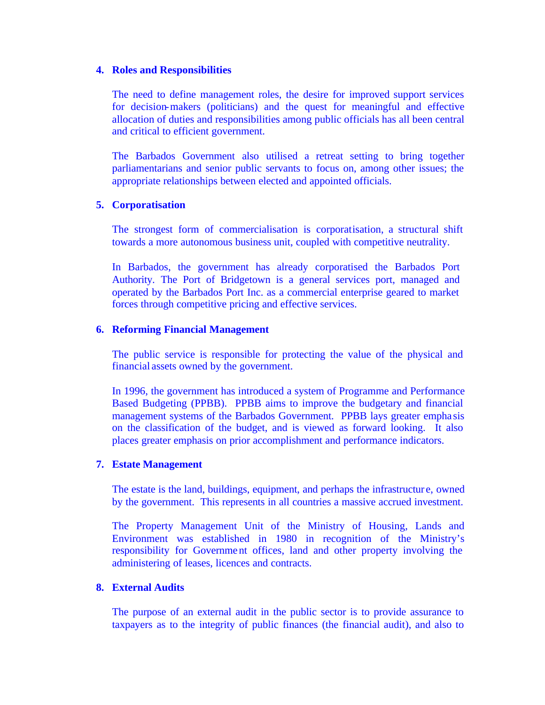#### **4. Roles and Responsibilities**

The need to define management roles, the desire for improved support services for decision-makers (politicians) and the quest for meaningful and effective allocation of duties and responsibilities among public officials has all been central and critical to efficient government.

The Barbados Government also utilised a retreat setting to bring together parliamentarians and senior public servants to focus on, among other issues; the appropriate relationships between elected and appointed officials.

### **5. Corporatisation**

The strongest form of commercialisation is corporatisation, a structural shift towards a more autonomous business unit, coupled with competitive neutrality.

In Barbados, the government has already corporatised the Barbados Port Authority. The Port of Bridgetown is a general services port, managed and operated by the Barbados Port Inc. as a commercial enterprise geared to market forces through competitive pricing and effective services.

### **6. Reforming Financial Management**

The public service is responsible for protecting the value of the physical and financial assets owned by the government.

In 1996, the government has introduced a system of Programme and Performance Based Budgeting (PPBB). PPBB aims to improve the budgetary and financial management systems of the Barbados Government. PPBB lays greater empha sis on the classification of the budget, and is viewed as forward looking. It also places greater emphasis on prior accomplishment and performance indicators.

### **7. Estate Management**

The estate is the land, buildings, equipment, and perhaps the infrastructur e, owned by the government. This represents in all countries a massive accrued investment.

The Property Management Unit of the Ministry of Housing, Lands and Environment was established in 1980 in recognition of the Ministry's responsibility for Government offices, land and other property involving the administering of leases, licences and contracts.

# **8. External Audits**

The purpose of an external audit in the public sector is to provide assurance to taxpayers as to the integrity of public finances (the financial audit), and also to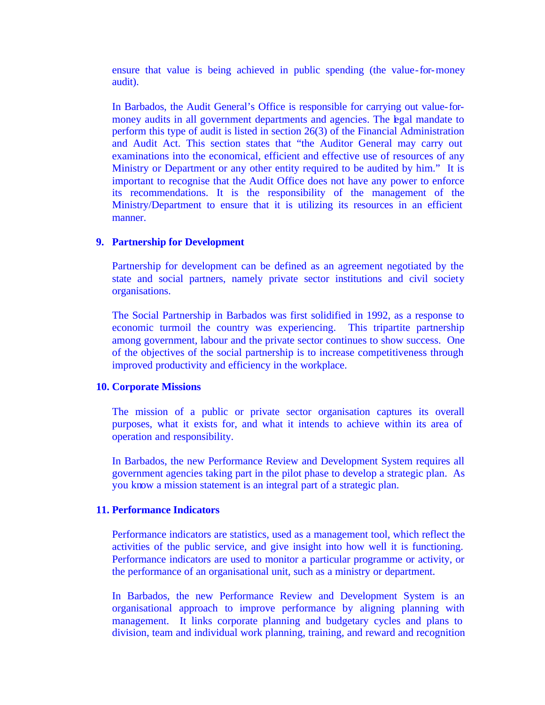ensure that value is being achieved in public spending (the value-for-money audit).

In Barbados, the Audit General's Office is responsible for carrying out value-formoney audits in all government departments and agencies. The legal mandate to perform this type of audit is listed in section 26(3) of the Financial Administration and Audit Act. This section states that "the Auditor General may carry out examinations into the economical, efficient and effective use of resources of any Ministry or Department or any other entity required to be audited by him." It is important to recognise that the Audit Office does not have any power to enforce its recommendations. It is the responsibility of the management of the Ministry/Department to ensure that it is utilizing its resources in an efficient manner.

#### **9. Partnership for Development**

Partnership for development can be defined as an agreement negotiated by the state and social partners, namely private sector institutions and civil society organisations.

The Social Partnership in Barbados was first solidified in 1992, as a response to economic turmoil the country was experiencing. This tripartite partnership among government, labour and the private sector continues to show success. One of the objectives of the social partnership is to increase competitiveness through improved productivity and efficiency in the workplace.

#### **10. Corporate Missions**

The mission of a public or private sector organisation captures its overall purposes, what it exists for, and what it intends to achieve within its area of operation and responsibility.

In Barbados, the new Performance Review and Development System requires all government agencies taking part in the pilot phase to develop a strategic plan. As you know a mission statement is an integral part of a strategic plan.

#### **11. Performance Indicators**

Performance indicators are statistics, used as a management tool, which reflect the activities of the public service, and give insight into how well it is functioning. Performance indicators are used to monitor a particular programme or activity, or the performance of an organisational unit, such as a ministry or department.

In Barbados, the new Performance Review and Development System is an organisational approach to improve performance by aligning planning with management. It links corporate planning and budgetary cycles and plans to division, team and individual work planning, training, and reward and recognition